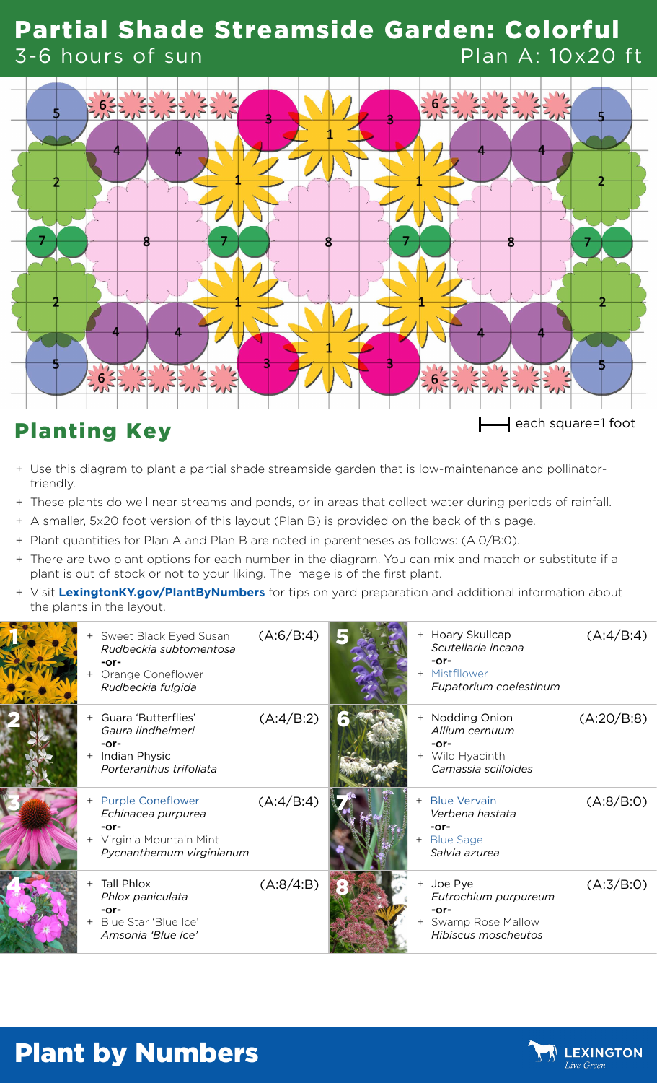#### Partial Shade Streamside Garden: Colorful 3-6 hours of sun Plan A: 10x20 ft



- + Use this diagram to plant a partial shade streamside garden that is low-maintenance and pollinatorfriendly.
- + These plants do well near streams and ponds, or in areas that collect water during periods of rainfall.
- + A smaller, 5x20 foot version of this layout (Plan B) is provided on the back of this page.
- + Plant quantities for Plan A and Plan B are noted in parentheses as follows: (A:0/B:0).
- + There are two plant options for each number in the diagram. You can mix and match or substitute if a plant is out of stock or not to your liking. The image is of the first plant.
- + Visit **[LexingtonKY.gov/PlantByNumbers](http://LexingtonKY.gov/PlantByNumbers)** for tips on yard preparation and additional information about the plants in the layout.

| + Sweet Black Eyed Susan<br>Rudbeckia subtomentosa<br>$-0r-$<br>Orange Coneflower<br>Rudbeckia fulgida       | (A:6/B:4) |     | + Hoary Skullcap<br>Scutellaria incana<br>$-0r-$<br>+ Mistfllower<br>Eupatorium coelestinum | (A:4/B:4)  |
|--------------------------------------------------------------------------------------------------------------|-----------|-----|---------------------------------------------------------------------------------------------|------------|
| Guara 'Butterflies'<br>Gaura lindheimeri<br>$-0r-$<br><b>Indian Physic</b><br>$+$<br>Porteranthus trifoliata | (A:4/B:2) |     | + Nodding Onion<br>Allium cernuum<br>-or-<br>Wild Hyacinth<br>Camassia scilloides           | (A:20/B:8) |
| + Purple Coneflower<br>Echinacea purpurea<br>-or-<br>Virginia Mountain Mint<br>Pycnanthemum virginianum      | (A:4/B:4) | $+$ | <b>Blue Vervain</b><br>Verbena hastata<br>$-0r-$<br><b>Blue Sage</b><br>Salvia azurea       | (A:8/B:0)  |
| <b>Tall Phlox</b><br>$+$<br>Phlox paniculata<br>$-0r-$<br>Blue Star 'Blue Ice'<br>Amsonia 'Blue Ice'         | (A:8/4:B) |     | Joe Pye<br>Eutrochium purpureum<br>$-0r-$<br>Swamp Rose Mallow<br>Hibiscus moscheutos       | (A:3/B:0)  |

## Plant by Numbers